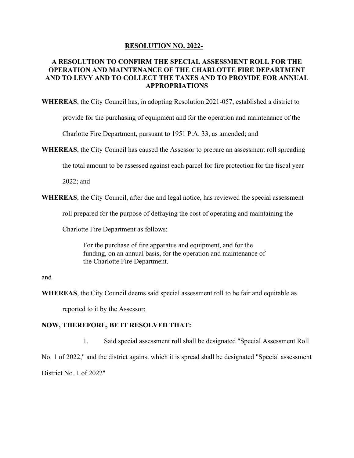## **RESOLUTION NO. 2022-**

## **A RESOLUTION TO CONFIRM THE SPECIAL ASSESSMENT ROLL FOR THE OPERATION AND MAINTENANCE OF THE CHARLOTTE FIRE DEPARTMENT AND TO LEVY AND TO COLLECT THE TAXES AND TO PROVIDE FOR ANNUAL APPROPRIATIONS**

**WHEREAS**, the City Council has, in adopting Resolution 2021-057, established a district to

provide for the purchasing of equipment and for the operation and maintenance of the

Charlotte Fire Department, pursuant to 1951 P.A. 33, as amended; and

**WHEREAS**, the City Council has caused the Assessor to prepare an assessment roll spreading

the total amount to be assessed against each parcel for fire protection for the fiscal year

2022; and

**WHEREAS**, the City Council, after due and legal notice, has reviewed the special assessment

roll prepared for the purpose of defraying the cost of operating and maintaining the

Charlotte Fire Department as follows:

For the purchase of fire apparatus and equipment, and for the funding, on an annual basis, for the operation and maintenance of the Charlotte Fire Department.

## and

**WHEREAS**, the City Council deems said special assessment roll to be fair and equitable as

reported to it by the Assessor;

## **NOW, THEREFORE, BE IT RESOLVED THAT:**

 1. Said special assessment roll shall be designated "Special Assessment Roll No. 1 of 2022," and the district against which it is spread shall be designated "Special assessment District No. 1 of 2022"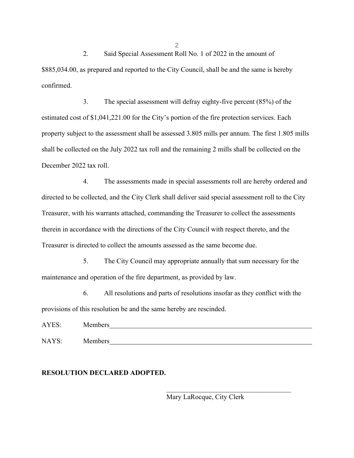2. Said Special Assessment Roll No. 1 of 2022 in the amount of \$885,034.00, as prepared and reported to the City Council, shall be and the same is hereby confirmed.

 3. The special assessment will defray eighty-five percent (85%) of the estimated cost of \$1,041,221.00 for the City's portion of the fire protection services. Each property subject to the assessment shall be assessed 3.805 mills per annum. The first 1.805 mills shall be collected on the July 2022 tax roll and the remaining 2 mills shall be collected on the December 2022 tax roll.

 4. The assessments made in special assessments roll are hereby ordered and directed to be collected, and the City Clerk shall deliver said special assessment roll to the City Treasurer, with his warrants attached, commanding the Treasurer to collect the assessments therein in accordance with the directions of the City Council with respect thereto, and the Treasurer is directed to collect the amounts assessed as the same become due.

 5. The City Council may appropriate annually that sum necessary for the maintenance and operation of the fire department, as provided by law.

 6. All resolutions and parts of resolutions insofar as they conflict with the provisions of this resolution be and the same hereby are rescinded.

AYES: Members

NAYS: Members

**RESOLUTION DECLARED ADOPTED.**

Mary LaRocque, City Clerk

2